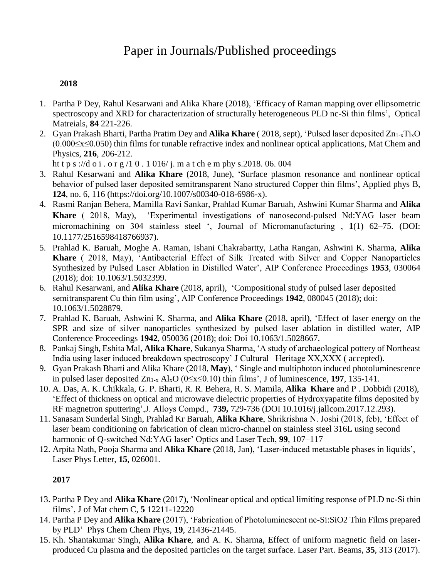# Paper in Journals/Published proceedings

# **2018**

- 1. Partha P Dey, Rahul Kesarwani and Alika Khare (2018), 'Efficacy of Raman mapping over ellipsometric spectroscopy and XRD for characterization of structurally heterogeneous PLD nc-Si thin films', Optical Matreials, **84** 221-226.
- 2. Gyan Prakash Bharti, Partha Pratim Dey and **Alika Khare** ( 2018, sept), 'Pulsed laser deposited Zn1-xTixO (0.000≤x≤0.050) thin films for tunable refractive index and nonlinear optical applications, Mat Chem and Physics, **216**, 206-212.

ht t p s ://d o i . o r g /1 0 . 1 016/ j. m a t ch e m phy s.2018. 06. 004

- 3. Rahul Kesarwani and **Alika Khare** (2018, June), 'Surface plasmon resonance and nonlinear optical behavior of pulsed laser deposited semitransparent Nano structured Copper thin films', Applied phys B, **124**, no. 6, 116 (https://doi.org/10.1007/s00340-018-6986-x).
- 4. Rasmi Ranjan Behera, Mamilla Ravi Sankar, Prahlad Kumar Baruah, Ashwini Kumar Sharma and **Alika Khare** ( 2018, May), 'Experimental investigations of nanosecond-pulsed Nd:YAG laser beam micromachining on 304 stainless steel ', Journal of Micromanufacturing , **1**(1) 62–75. (DOI: 10.1177/2516598418766937).
- 5. Prahlad K. Baruah, Moghe A. Raman, Ishani Chakrabartty, Latha Rangan, Ashwini K. Sharma, **Alika Khare** ( 2018, May), 'Antibacterial Effect of Silk Treated with Silver and Copper Nanoparticles Synthesized by Pulsed Laser Ablation in Distilled Water', AIP Conference Proceedings **1953**, 030064 (2018); doi: 10.1063/1.5032399.
- 6. Rahul Kesarwani, and **Alika Khare** (2018, april), 'Compositional study of pulsed laser deposited semitransparent Cu thin film using', AIP Conference Proceedings **1942**, 080045 (2018); doi: 10.1063/1.5028879.
- 7. Prahlad K. Baruah, Ashwini K. Sharma, and **Alika Khare** (2018, april), 'Effect of laser energy on the SPR and size of silver nanoparticles synthesized by pulsed laser ablation in distilled water, AIP Conference Proceedings **1942**, 050036 (2018); doi: Doi 10.1063/1.5028667.
- 8. Pankaj Singh, Eshita Mal, **Alika Khare**, Sukanya Sharma, 'A study of archaeological pottery of Northeast India using laser induced breakdown spectroscopy' J Cultural Heritage XX,XXX ( accepted).
- 9. Gyan Prakash Bharti and Alika Khare (2018, **May**), ' Single and multiphoton induced photoluminescence in pulsed laser deposited  $Zn_{1-x}$  Al<sub>x</sub>O ( $0 \le x \le 0.10$ ) thin films', J of luminescence, **197**, 135-141.
- 10. A. Das, A. K. Chikkala, G. P. Bharti, R. R. Behera, R. S. Mamila, **Alika Khare** and P . Dobbidi (2018), 'Effect of thickness on optical and microwave dielectric properties of Hydroxyapatite films deposited by RF magnetron sputtering',J. Alloys Compd., **739,** 729-736 (DOI 10.1016/j.jallcom.2017.12.293).
- 11. Sanasam Sunderlal Singh, Prahlad Kr Baruah, **Alika Khare**, Shrikrishna N. Joshi (2018, feb), 'Effect of laser beam conditioning on fabrication of clean micro-channel on stainless steel 316L using second harmonic of Q-switched Nd:YAG laser' Optics and Laser Tech, **99**, 107–117
- 12. Arpita Nath, Pooja Sharma and **Alika Khare** (2018, Jan), 'Laser-induced metastable phases in liquids', Laser Phys Letter, **15**, 026001.

- 13. Partha P Dey and **Alika Khare** (2017), 'Nonlinear optical and optical limiting response of PLD nc-Si thin films', J of Mat chem C, **5** 12211-12220
- 14. Partha P Dey and **Alika Khare** (2017), 'Fabrication of Photoluminescent nc-Si:SiO2 Thin Films prepared by PLD' Phys Chem Chem Phys, **19**, 21436-21445.
- 15. Kh. Shantakumar Singh, **Alika Khare**, and A. K. Sharma, Effect of uniform magnetic field on laserproduced Cu plasma and the deposited particles on the target surface. Laser Part. Beams, **35**, 313 (2017).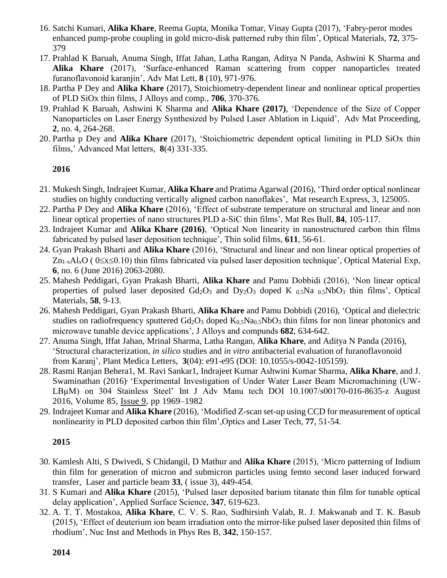- 16. Satchi Kumari, **Alika Khare**, Reema Gupta, Monika Tomar, Vinay Gupta (2017), 'Fabry-perot modes enhanced pump-probe coupling in gold micro-disk patterned ruby thin film', Optical Materials, **72**, 375- 379
- 17. Prahlad K Baruah, Anuma Singh, Iffat Jahan, Latha Rangan, Aditya N Panda, Ashwini K Sharma and **Alika Khare** (2017), 'Surface-enhanced Raman scattering from copper nanoparticles treated furanoflavonoid karanjin', Adv Mat Lett, **8** (10), 971-976.
- 18. Partha P Dey and **Alika Khare** (2017), Stoichiometry-dependent linear and nonlinear optical properties of PLD SiOx thin films, J Alloys and comp., **706**, 370-376.
- 19. Prahlad K Baruah, Ashwini K Sharma and **Alika Khare (2017)**, 'Dependence of the Size of Copper Nanoparticles on Laser Energy Synthesized by Pulsed Laser Ablation in Liquid', Adv Mat Proceeding, **2**, no. 4, 264-268.
- 20. Partha p Dey and **Alika Khare** (2017), 'Stoichiometric dependent optical limiting in PLD SiOx thin films,' Advanced Mat letters, **8**(4) 331-335.

# **2016**

- 21. Mukesh Singh, Indrajeet Kumar, **Alika Khare** and Pratima Agarwal (2016), 'Third order optical nonlinear studies on highly conducting vertically aligned carbon nanoflakes', Mat research Express, 3, 125005.
- 22. Partha P Dey and **Alika Khare** (2016), 'Effect of substrate temperature on structural and linear and non linear optical properties of nano structures PLD a-SiC thin films', Mat Res Bull, **84**, 105-117.
- 23. Indrajeet Kumar and **Alika Khare (2016)**, 'Optical Non linearity in nanostructured carbon thin films fabricated by pulsed laser deposition technique', Thin solid films, **611**, 56-61.
- 24. Gyan Prakash Bharti and **Alika Khare** (2016), 'Structural and linear and non linear optical properties of  $Zn_{1-x}Al_xO$  (  $0 \le x \le 0.10$ ) thin films fabricated via pulsed laser deposition technique', Optical Material Exp, **6**, no. 6 (June 2016) 2063-2080.
- 25. Mahesh Peddigari, Gyan Prakash Bharti, **Alika Khare** and Pamu Dobbidi (2016), 'Non linear optical properties of pulsed laser deposited  $Gd_2O_3$  and  $Dy_2O_3$  doped K  $_{0.5}Na$   $_{0.5}NbO_3$  thin films', Optical Materials, **58**, 9-13.
- 26. Mahesh Peddigari, Gyan Prakash Bharti, **Alika Khare** and Pamu Dobbidi (2016), 'Optical and dielectric studies on radiofrequency sputtered  $Gd_2O_3$  doped  $K_{0.5}Na_{0.5}NbO_3$  thin films for non linear photonics and microwave tunable device applications', J Alloys and compunds **682**, 634-642.
- 27. Anuma Singh, Iffat Jahan, Mrinal Sharma, Latha Rangan, **Alika Khare**, and Aditya N Panda (2016), 'Structural characterization, *in silico* studies and *in vitro* antibacterial evaluation of furanoflavonoid from Karanj', Plant Medica Letters, **3**(04): e91-e95 (DOI: 10.1055/s-0042-105159).
- 28. Rasmi Ranjan Behera1, M. Ravi Sankar1, Indrajeet Kumar Ashwini Kumar Sharma, **Alika Khare**, and J. Swaminathan (2016)<sup>,</sup> 'Experimental Investigation of Under Water Laser Beam Micromachining (UW-LBµM) on 304 Stainless Steel' Int J Adv Manu tech DOI 10.1007/s00170-016-8635-z August 2016, Volume 85, [Issue](http://link.springer.com/journal/170/85/9/page/1) 9, pp 1969–1982
- 29. Indrajeet Kumar and **Alika Khare** (2016), 'Modified Z-scan set-up using CCD for measurement of optical nonlinearity in PLD deposited carbon thin film',Optics and Laser Tech, **77**, 51-54.

- 30. Kamlesh Alti, S Dwivedi, S Chidangil, D Mathur and **Alika Khare** (2015), 'Micro patterning of Indium thin film for generation of micron and submicron particles using femto second laser induced forward transfer, Laser and particle beam **33**, ( issue 3), 449-454.
- 31. S Kumari and **Alika Khare** (2015), 'Pulsed laser deposited barium titanate thin film for tunable optical delay application', Applied Surface Science, **347**, 619-623.
- 32. A. T. T. Mostakoa, **Alika Khare**, C. V. S. Rao, Sudhirsinh Valab, R. J. Makwanab and T. K. Basub (2015), 'Effect of deuterium ion beam irradiation onto the mirror-like pulsed laser deposited thin films of rhodium', Nuc Inst and Methods in Phys Res B, **342**, 150-157.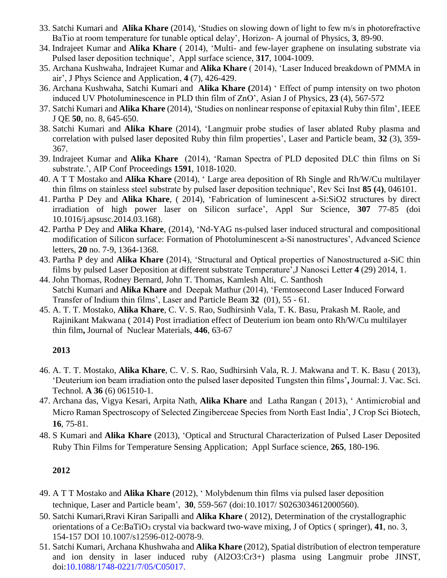- 33. Satchi Kumari and **Alika Khare** (2014), 'Studies on slowing down of light to few m/s in photorefractive BaTio at room temperature for tunable optical delay', Horizon- A journal of Physics, **3**, 89-90.
- 34. Indrajeet Kumar and **Alika Khare** ( 2014), 'Multi- and few-layer graphene on insulating substrate via Pulsed laser deposition technique', Appl surface science, **317**, 1004-1009.
- 35. Archana Kushwaha, Indrajeet Kumar and **Alika Khare** ( 2014), 'Laser Induced breakdown of PMMA in air', J Phys Science and Application, **4** (7), 426-429.
- 36. Archana Kushwaha, Satchi Kumari and **Alika Khare (**2014) ' Effect of pump intensity on two photon induced UV Photoluminescence in PLD thin film of ZnO', Asian J of Physics, **23** (4), 567-572
- 37. Satchi Kumari and **Alika Khare** (2014), 'Studies on nonlinear response of epitaxial Ruby thin film', IEEE J QE **50**, no. 8, 645-650.
- 38. Satchi Kumari and **Alika Khare** (2014), 'Langmuir probe studies of laser ablated Ruby plasma and correlation with pulsed laser deposited Ruby thin film properties', Laser and Particle beam, **32** (3), 359- 367.
- 39. Indrajeet Kumar and **Alika Khare** (2014), 'Raman Spectra of PLD deposited DLC thin films on Si substrate.', AIP Conf Proceedings **1591**, 1018-1020.
- 40. A T T Mostako and **Alika Khare** (2014), ' Large area deposition of Rh Single and Rh/W/Cu multilayer thin films on stainless steel substrate by pulsed laser deposition technique', Rev Sci Inst **85 (**4**)**, 046101.
- 41. Partha P Dey and **Alika Khare**, ( 2014), 'Fabrication of luminescent a-Si:SiO2 structures by direct irradiation of high power laser on Silicon surface', Appl Sur Science, **307** 77-85 (doi 10.1016/j.apsusc.2014.03.168).
- 42. Partha P Dey and **Alika Khare**, (2014), 'Nd-YAG ns-pulsed laser induced structural and compositional modification of Silicon surface: Formation of Photoluminescent a-Si nanostructures', Advanced Science letters, **20** no. 7-9, 1364-1368.
- 43. Partha P dey and **Alika Khare** (2014), 'Structural and Optical properties of Nanostructured a-SiC thin films by pulsed Laser Deposition at different substrate Temperature',J Nanosci Letter **4** (29) 2014, 1.
- 44. John Thomas, Rodney Bernard, John T. Thomas, Kamlesh Alti, C. Santhosh Satchi Kumari and **Alika Khare** and Deepak Mathur (2014), 'Femtosecond Laser Induced Forward Transfer of Indium thin films', Laser and Particle Beam **[32](http://journals.cambridge.org/action/displayBackIssues?jid=LPB&volumeId=32)** [\(01\)](http://journals.cambridge.org/action/displayIssue?jid=LPB&volumeId=32&seriesId=0&issueId=01), 55 - 61.
- 45. A. T. T. Mostako, **Alika Khare**, C. V. S. Rao, Sudhirsinh Vala, T. K. Basu, Prakash M. Raole, and Rajinikant Makwana ( 2014) Post irradiation effect of Deuterium ion beam onto Rh/W/Cu multilayer thin film**,** Journal of Nuclear Materials, **446**, 63-67

# **2013**

- 46. A. T. T. Mostako, **Alika Khare**, C. V. S. Rao, Sudhirsinh Vala, R. J. Makwana and T. K. Basu ( 2013), 'Deuterium ion beam irradiation onto the pulsed laser deposited Tungsten thin films'**,** Journal: J. Vac. Sci. Technol. **A 36** (6) 061510-1.
- 47. Archana das, Vigya Kesari, Arpita Nath, **Alika Khare** and Latha Rangan ( 2013), ' Antimicrobial and Micro Raman Spectroscopy of Selected Zingiberceae Species from North East India', J Crop Sci Biotech, **16**, 75-81.
- 48. S Kumari and **Alika Khare** (2013), 'Optical and Structural Characterization of Pulsed Laser Deposited Ruby Thin Films for Temperature Sensing Application; Appl Surface science, **265**, 180-196.

- 49. A T T Mostako and **Alika Khare** (2012), ' Molybdenum thin films via pulsed laser deposition technique, Laser and Particle beam', **30**, 559-567 (doi:10.1017/ S0263034612000560).
- 50. Satchi Kumari,Rravi Kiran Saripalli and **Alika Khare** ( 2012), Determination of the crystallographic orientations of a Ce:BaTiO<sub>3</sub> crystal via backward two-wave mixing, J of Optics (springer), 41, no. 3, 154-157 DOI 10.1007/s12596-012-0078-9.
- 51. Satchi Kumari, Archana Khushwaha and **Alika Khare** (2012), Spatial distribution of electron temperature and ion density in laser induced ruby (Al2O3:Cr3+) plasma using Langmuir probe JINST, doi:10.1088/1748-0221/7/05/C05017.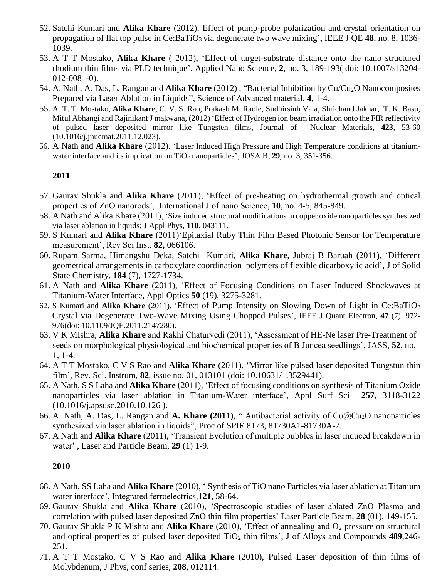- 52. Satchi Kumari and **Alika Khare** (2012), Effect of pump-probe polarization and crystal orientation on propagation of flat top pulse in Ce:BaTiO<sub>3</sub> via degenerate two wave mixing', IEEE J QE 48, no. 8, 1036-1039.
- 53. A T T Mostako, **Alika Khare** ( 2012), 'Effect of target-substrate distance onto the nano structured rhodium thin films via PLD technique', Applied Nano Science, **2**, no. 3, 189-193( doi: 10.1007/s13204- 012-0081-0).
- 54. A. Nath, A. Das, L. Rangan and **Alika Khare** (2012) , "Bacterial Inhibition by Cu/Cu2O Nanocomposites Prepared via Laser Ablation in Liquids", Science of Advanced material, **4**, 1-4.
- 55. A. T. T. Mostako, **Alika Khare**, C. V. S. Rao, Prakash M. Raole, Sudhirsinh Vala, Shrichand Jakhar, T. K. Basu, Mitul Abhangi and Rajinikant J makwana, (2012) 'Effect of Hydrogen ion beam irradiation onto the FIR reflectivity of pulsed laser deposited mirror like Tungsten films, Journal of Nuclear Materials, **423**, 53-60 (10.1016/j.jnucmat.2011.12.023).
- 56. A Nath and **Alika Khare** (2012), 'Laser Induced High Pressure and High Temperature conditions at titaniumwater interface and its implication on TiO<sub>2</sub> nanoparticles', JOSA B, 29, no. 3, 351-356.

#### **2011**

- 57. Gaurav Shukla and **Alika Khare** (2011), 'Effect of pre-heating on hydrothermal growth and optical properties of ZnO nanorods', International J of nano Science, **10**, no. 4-5, 845-849.
- 58. A Nath and Alika Khare (2011), 'Size induced structural modifications in copper oxide nanoparticles synthesized via laser ablation in liquids; J Appl Phys, **110**, 043111.
- 59. S Kumari and **Alika Khare** (2011)'Epitaxial Ruby Thin Film Based Photonic Sensor for Temperature measurement', Rev Sci Inst. **82,** 066106.
- 60. Rupam Sarma, Himangshu Deka, Satchi Kumari, **Alika Khare**, Jubraj B Baruah (2011), 'Different geometrical arrangements in carboxylate coordination polymers of flexible dicarboxylic acid', J of Solid State Chemistry, **184** (7), 1727-1734.
- 61. A Nath and **Alika Khare** (2011), 'Effect of Focusing Conditions on Laser Induced Shockwaves at Titanium-Water Interface, Appl Optics **50** (19), 3275-3281.
- 62. S Kumari and **Alika Khare** (2011), 'Effect of Pump Intensity on Slowing Down of Light in Ce:BaTiO<sup>3</sup> Crystal via Degenerate Two-Wave Mixing Using Chopped Pulses', IEEE J Quant Electron, **47** (7), 972- 976(doi: 10.1109/JQE.2011.2147280).
- 63. V K MIshra, **Alika Khare** and Rakhi Chaturvedi (2011), 'Assessment of HE-Ne laser Pre-Treatment of seeds on morphological physiological and biochemical properties of B Juncea seedlings', JASS, **52**, no. 1, 1-4.
- 64. A T T Mostako, C V S Rao and **Alika Khare** (2011), 'Mirror like pulsed laser deposited Tungstun thin film', Rev. Sci. Instrum, **82**, issue no. 01, 013101 (doi: 10.10631/1.3529441).
- 65. A Nath, S S Laha and **Alika Khare** (2011), 'Effect of focusing conditions on synthesis of Titanium Oxide nanoparticles via laser ablation in Titanium-Water interface', Appl Surf Sci **257**, 3118-3122 (10.1016/j.apsusc.2010.10.126 ).
- 66. A. Nath, A. Das, L. Rangan and **A. Khare (2011)**, " Antibacterial activity of Cu@Cu2O nanoparticles synthesized via laser ablation in liquids", Proc of SPIE 8173, 81730A1-81730A-7.
- 67. A Nath and **Alika Khare** (2011), 'Transient Evolution of multiple bubbles in laser induced breakdown in water' , Laser and Particle Beam, **29** (1) 1-9.

- 68. A Nath, SS Laha and **Alika Khare** (2010), ' Synthesis of TiO nano Particles via laser ablation at Titanium water interface', Integrated ferroelectrics,**121**, 58-64.
- 69. Gaurav Shukla and **Alika Khare** (2010), 'Spectroscopic studies of laser ablated ZnO Plasma and correlation with pulsed laser deposited ZnO thin film properties' Laser Particle Beam, **28** (01), 149-155.
- 70. Gaurav Shukla P K Mishra and **Alika Khare** (2010), 'Effect of annealing and O<sub>2</sub> pressure on structural and optical properties of pulsed laser deposited TiO<sup>2</sup> thin films', J of Alloys and Compounds **489**,246- 251.
- 71. A T T Mostako, C V S Rao and **Alika Khare** (2010), Pulsed Laser deposition of thin films of Molybdenum, J Phys, conf series, **208**, 012114.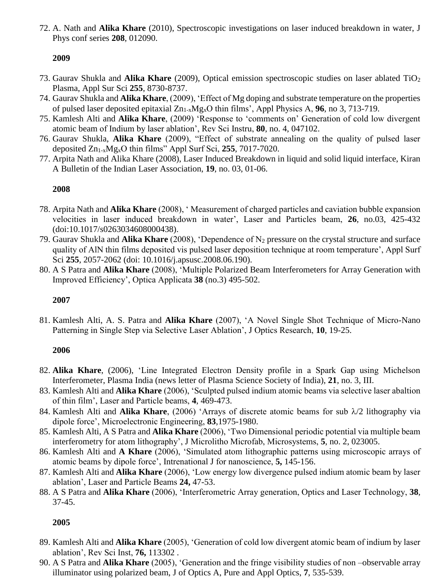72. A. Nath and **Alika Khare** (2010), Spectroscopic investigations on laser induced breakdown in water, J Phys conf series **208**, 012090.

# **2009**

- 73. Gaurav Shukla and **Alika Khare** (2009), Optical emission spectroscopic studies on laser ablated TiO<sup>2</sup> Plasma, Appl Sur Sci **255**, 8730-8737.
- 74. Gaurav Shukla and **Alika Khare**, (2009), 'Effect of Mg doping and substrate temperature on the properties of pulsed laser deposited epitaxial Zn1-xMgxO thin films', Appl Physics A, **96**, no 3, 713-719.
- 75. Kamlesh Alti and **Alika Khare**, (2009) 'Response to 'comments on' Generation of cold low divergent atomic beam of Indium by laser ablation', Rev Sci Instru, **80**, no. 4, 047102.
- 76. Gaurav Shukla, **Alika Khare** (2009), "Effect of substrate annealing on the quality of pulsed laser deposited Zn1-xMgxO thin films" Appl Surf Sci, **255**, 7017-7020.
- 77. Arpita Nath and Alika Khare (2008), Laser Induced Breakdown in liquid and solid liquid interface, Kiran A Bulletin of the Indian Laser Association, **19**, no. 03, 01-06.

# **2008**

- 78. Arpita Nath and **Alika Khare** (2008), ' Measurement of charged particles and caviation bubble expansion velocities in laser induced breakdown in water', Laser and Particles beam, **26**, no.03, 425-432 (doi:10.1017/s0263034608000438).
- 79. Gaurav Shukla and **Alika Khare** (2008), 'Dependence of N<sup>2</sup> pressure on the crystal structure and surface quality of AlN thin films deposited vis pulsed laser deposition technique at room temperature', Appl Surf Sci **255**, 2057-2062 (doi: 10.1016/j.apsusc.2008.06.190).
- 80. A S Patra and **Alika Khare** (2008), 'Multiple Polarized Beam Interferometers for Array Generation with Improved Efficiency', Optica Applicata **38** (no.3) 495-502.

# **2007**

81. Kamlesh Alti, A. S. Patra and **Alika Khare** (2007), 'A Novel Single Shot Technique of Micro-Nano Patterning in Single Step via Selective Laser Ablation', J Optics Research, **10**, 19-25.

# **2006**

- 82. **Alika Khare**, (2006), 'Line Integrated Electron Density profile in a Spark Gap using Michelson Interferometer, Plasma India (news letter of Plasma Science Society of India), **21**, no. 3, III.
- 83. Kamlesh Alti and **Alika Khare** (2006), 'Sculpted pulsed indium atomic beams via selective laser abaltion of thin film', Laser and Particle beams, **4**, 469-473.
- 84. Kamlesh Alti and **Alika Khare**, (2006) 'Arrays of discrete atomic beams for sub  $\lambda/2$  lithography via dipole force', Microelectronic Engineering, **83**,1975-1980.
- 85. Kamlesh Alti, A S Patra and **Alika Khare** (2006), 'Two Dimensional periodic potential via multiple beam interferometry for atom lithography', J Microlitho Microfab, Microsystems, **5**, no. 2, 023005.
- 86. Kamlesh Alti and **A Khare** (2006), 'Simulated atom lithographic patterns using microscopic arrays of atomic beams by dipole force', Intrenational J for nanoscience, **5,** 145-156.
- 87. Kamlesh Alti and **Alika Khare** (2006), 'Low energy low divergence pulsed indium atomic beam by laser ablation', Laser and Particle Beams **24,** 47-53.
- 88. A S Patra and **Alika Khare** (2006), 'Interferometric Array generation, Optics and Laser Technology, **38**, 37-45.

- 89. Kamlesh Alti and **Alika Khare** (2005), 'Generation of cold low divergent atomic beam of indium by laser ablation', Rev Sci Inst, **76,** 113302 .
- 90. A S Patra and **Alika Khare** (2005), 'Generation and the fringe visibility studies of non –observable array illuminator using polarized beam, J of Optics A, Pure and Appl Optics, **7**, 535-539.